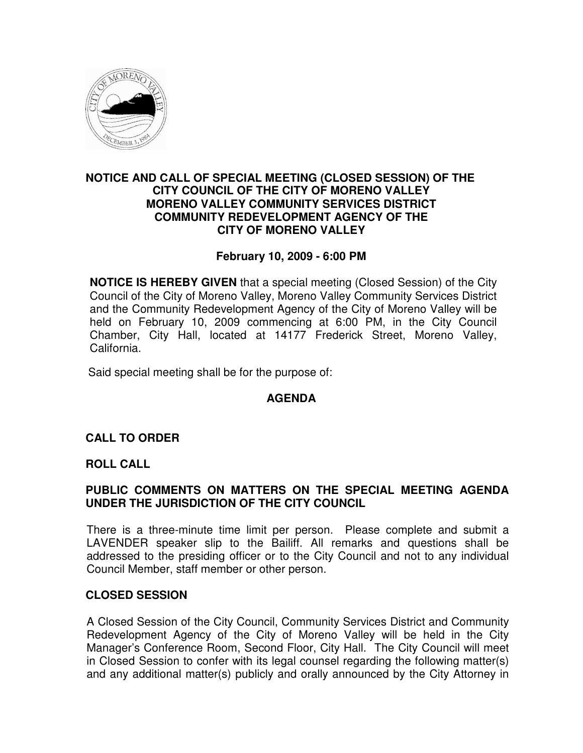

## **NOTICE AND CALL OF SPECIAL MEETING (CLOSED SESSION) OF THE CITY COUNCIL OF THE CITY OF MORENO VALLEY MORENO VALLEY COMMUNITY SERVICES DISTRICT COMMUNITY REDEVELOPMENT AGENCY OF THE CITY OF MORENO VALLEY**

## **February 10, 2009 - 6:00 PM**

**NOTICE IS HEREBY GIVEN** that a special meeting (Closed Session) of the City Council of the City of Moreno Valley, Moreno Valley Community Services District and the Community Redevelopment Agency of the City of Moreno Valley will be held on February 10, 2009 commencing at 6:00 PM, in the City Council Chamber, City Hall, located at 14177 Frederick Street, Moreno Valley, California.

Said special meeting shall be for the purpose of:

## **AGENDA**

## **CALL TO ORDER**

#### **ROLL CALL**

## **PUBLIC COMMENTS ON MATTERS ON THE SPECIAL MEETING AGENDA UNDER THE JURISDICTION OF THE CITY COUNCIL**

There is a three-minute time limit per person. Please complete and submit a LAVENDER speaker slip to the Bailiff. All remarks and questions shall be addressed to the presiding officer or to the City Council and not to any individual Council Member, staff member or other person.

#### **CLOSED SESSION**

A Closed Session of the City Council, Community Services District and Community Redevelopment Agency of the City of Moreno Valley will be held in the City Manager's Conference Room, Second Floor, City Hall. The City Council will meet in Closed Session to confer with its legal counsel regarding the following matter(s) and any additional matter(s) publicly and orally announced by the City Attorney in